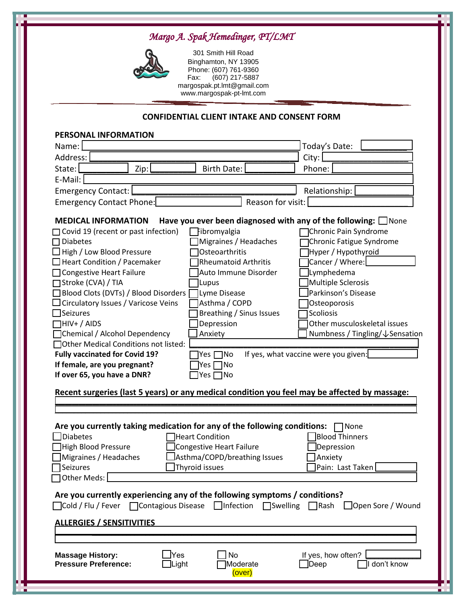## *Margo A. Spak Hemedinger, PT/LMT*



301 Smith Hill Road Binghamton, NY 13905 Phone: (607) 761-9360<br>Fax: (607) 217-5887  $(607)$  217-5887 margospak.pt.lmt@gmail.com [www.margospak-pt-lmt.com](http://www.margospak-pt-lmt.com/)

## **CONFIDENTIAL CLIENT INTAKE AND CONSENT FORM**

| PERSONAL INFORMATION                                                                                                                                                                                                                                                                                                                                                                                                                                                                                                                                                                                                                                                                                                                                                                                                                                                                                                                                                                                                                                                                                                                                           |                                          |  |  |  |
|----------------------------------------------------------------------------------------------------------------------------------------------------------------------------------------------------------------------------------------------------------------------------------------------------------------------------------------------------------------------------------------------------------------------------------------------------------------------------------------------------------------------------------------------------------------------------------------------------------------------------------------------------------------------------------------------------------------------------------------------------------------------------------------------------------------------------------------------------------------------------------------------------------------------------------------------------------------------------------------------------------------------------------------------------------------------------------------------------------------------------------------------------------------|------------------------------------------|--|--|--|
| Name:                                                                                                                                                                                                                                                                                                                                                                                                                                                                                                                                                                                                                                                                                                                                                                                                                                                                                                                                                                                                                                                                                                                                                          | Today's Date:                            |  |  |  |
| Address:                                                                                                                                                                                                                                                                                                                                                                                                                                                                                                                                                                                                                                                                                                                                                                                                                                                                                                                                                                                                                                                                                                                                                       | City:                                    |  |  |  |
| State:<br>Zip:<br><b>Birth Date:</b>                                                                                                                                                                                                                                                                                                                                                                                                                                                                                                                                                                                                                                                                                                                                                                                                                                                                                                                                                                                                                                                                                                                           | Phone:                                   |  |  |  |
| E-Mail:                                                                                                                                                                                                                                                                                                                                                                                                                                                                                                                                                                                                                                                                                                                                                                                                                                                                                                                                                                                                                                                                                                                                                        |                                          |  |  |  |
| <b>Emergency Contact:</b>                                                                                                                                                                                                                                                                                                                                                                                                                                                                                                                                                                                                                                                                                                                                                                                                                                                                                                                                                                                                                                                                                                                                      | Relationship:                            |  |  |  |
| Reason for visit:<br>Emergency Contact Phone:                                                                                                                                                                                                                                                                                                                                                                                                                                                                                                                                                                                                                                                                                                                                                                                                                                                                                                                                                                                                                                                                                                                  |                                          |  |  |  |
| <b>MEDICAL INFORMATION</b><br>Have you ever been diagnosed with any of the following: $\square$ None<br>Covid 19 (recent or past infection)<br>Fibromyalgia<br>Chronic Pain Syndrome<br>Migraines / Headaches<br>Chronic Fatigue Syndrome<br><b>Diabetes</b><br>$\overline{\phantom{a}}$<br>High / Low Blood Pressure<br>Osteoarthritis<br>Hyper / Hypothyroid<br>Cancer / Where:<br><b>Heart Condition / Pacemaker</b><br><b>Rheumatoid Arthritis</b><br>Lymphedema<br><b>Congestive Heart Failure</b><br>Auto Immune Disorder<br>Multiple Sclerosis<br>□ Stroke (CVA) / TIA<br>Lupus <br>Blood Clots (DVTs) / Blood Disorders<br>Parkinson's Disease<br>Lyme Disease<br>Circulatory Issues / Varicose Veins<br>Asthma / COPD<br>Osteoporosis<br><b>Seizures</b><br>Breathing / Sinus Issues<br>Scoliosis<br>Depression<br>$\Box$ HIV+ / AIDS<br>Other musculoskeletal issues<br>Chemical / Alcohol Dependency<br>Numbness / Tingling/↓Sensation<br>Anxiety<br><b>TOther Medical Conditions not listed:</b><br>If yes, what vaccine were you given:<br><b>Fully vaccinated for Covid 19?</b><br>Yes [<br>1No<br>If female, are you pregnant?<br>1No<br> Yes Γ |                                          |  |  |  |
| If over 65, you have a DNR?<br>]Yes $\Box$ No<br>Recent surgeries (last 5 years) or any medical condition you feel may be affected by massage:<br>Are you currently taking medication for any of the following conditions:<br>None<br>Diabetes<br><b>Blood Thinners</b><br><b>Heart Condition</b>                                                                                                                                                                                                                                                                                                                                                                                                                                                                                                                                                                                                                                                                                                                                                                                                                                                              |                                          |  |  |  |
| Congestive Heart Failure<br><b>High Blood Pressure</b>                                                                                                                                                                                                                                                                                                                                                                                                                                                                                                                                                                                                                                                                                                                                                                                                                                                                                                                                                                                                                                                                                                         | Depression                               |  |  |  |
| Asthma/COPD/breathing Issues<br>Migraines / Headaches                                                                                                                                                                                                                                                                                                                                                                                                                                                                                                                                                                                                                                                                                                                                                                                                                                                                                                                                                                                                                                                                                                          | Anxiety]                                 |  |  |  |
| Thyroid issues<br>$\sqsupset$ Seizures<br>Other Meds:                                                                                                                                                                                                                                                                                                                                                                                                                                                                                                                                                                                                                                                                                                                                                                                                                                                                                                                                                                                                                                                                                                          | $\exists$ Pain: Last Taken $\,$          |  |  |  |
| Are you currently experiencing any of the following symptoms / conditions?<br>$\Box$ Cold / Flu / Fever $\Box$ Contagious Disease $\Box$ Infection $\Box$ Swelling $\Box$ Rash $\Box$ Open Sore / Wound<br><u>ALLERGIES / SENSITIVITIES</u>                                                                                                                                                                                                                                                                                                                                                                                                                                                                                                                                                                                                                                                                                                                                                                                                                                                                                                                    |                                          |  |  |  |
|                                                                                                                                                                                                                                                                                                                                                                                                                                                                                                                                                                                                                                                                                                                                                                                                                                                                                                                                                                                                                                                                                                                                                                |                                          |  |  |  |
| No<br><b>Massage History:</b><br>Yes<br><b>Pressure Preference:</b><br>]Light<br>Moderate<br>(over)                                                                                                                                                                                                                                                                                                                                                                                                                                                                                                                                                                                                                                                                                                                                                                                                                                                                                                                                                                                                                                                            | If yes, how often?<br>don't know<br>Deep |  |  |  |
|                                                                                                                                                                                                                                                                                                                                                                                                                                                                                                                                                                                                                                                                                                                                                                                                                                                                                                                                                                                                                                                                                                                                                                |                                          |  |  |  |